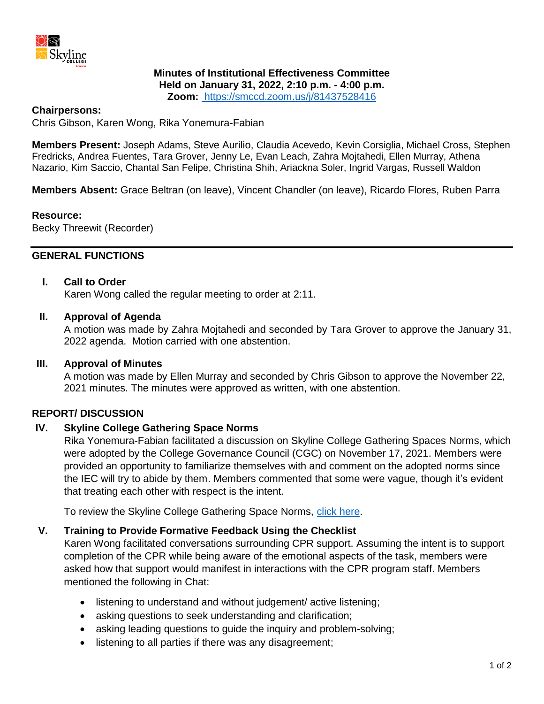

## **Minutes of Institutional Effectiveness Committee Held on January 31, 2022, 2:10 p.m. - 4:00 p.m. Zoom:** https://smccd.zoom.us/j/81437528416

#### **Chairpersons:**

Chris Gibson, Karen Wong, Rika Yonemura-Fabian

**Members Present:** Joseph Adams, Steve Aurilio, Claudia Acevedo, Kevin Corsiglia, Michael Cross, Stephen Fredricks, Andrea Fuentes, Tara Grover, Jenny Le, Evan Leach, Zahra Mojtahedi, Ellen Murray, Athena Nazario, Kim Saccio, Chantal San Felipe, Christina Shih, Ariackna Soler, Ingrid Vargas, Russell Waldon

**Members Absent:** Grace Beltran (on leave), Vincent Chandler (on leave), Ricardo Flores, Ruben Parra

#### **Resource:**

Becky Threewit (Recorder)

## **GENERAL FUNCTIONS**

#### **I. Call to Order**

Karen Wong called the regular meeting to order at 2:11.

#### **II. Approval of Agenda**

A motion was made by Zahra Mojtahedi and seconded by Tara Grover to approve the January 31, 2022 agenda. Motion carried with one abstention.

#### **III. Approval of Minutes**

A motion was made by Ellen Murray and seconded by Chris Gibson to approve the November 22, 2021 minutes. The minutes were approved as written, with one abstention.

## **REPORT/ DISCUSSION**

## **IV. Skyline College Gathering Space Norms**

Rika Yonemura-Fabian facilitated a discussion on Skyline College Gathering Spaces Norms, which were adopted by the College Governance Council (CGC) on November 17, 2021. Members were provided an opportunity to familiarize themselves with and comment on the adopted norms since the IEC will try to abide by them. Members commented that some were vague, though it's evident that treating each other with respect is the intent.

To review the Skyline College Gathering Space Norms, [click here.](https://www.skylinecollege.edu/collegegovernancecouncil/assets/documents/agendasminutes/2021_2022/2021-1117%20SKYLINE%20COLLEGE%20GATHERING%20SPACES%20NORMS.pdf)

## **V. Training to Provide Formative Feedback Using the Checklist**

Karen Wong facilitated conversations surrounding CPR support. Assuming the intent is to support completion of the CPR while being aware of the emotional aspects of the task, members were asked how that support would manifest in interactions with the CPR program staff. Members mentioned the following in Chat:

- listening to understand and without judgement/active listening;
- asking questions to seek understanding and clarification;
- asking leading questions to guide the inquiry and problem-solving;
- listening to all parties if there was any disagreement;